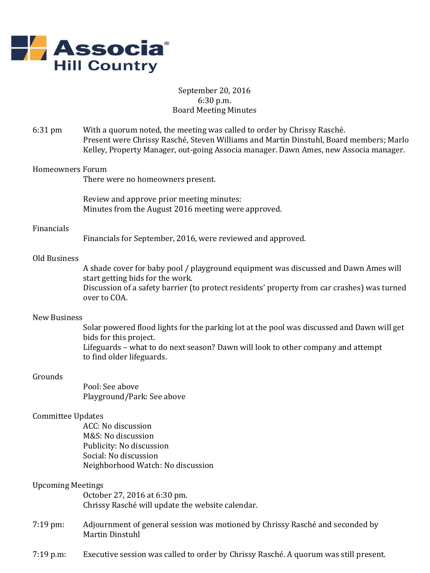

# September 20, 2016 6:30 p.m. Board Meeting Minutes

6:31 pm With a quorum noted, the meeting was called to order by Chrissy Rasché. Present were Chrissy Rasché, Steven Williams and Martin Dinstuhl, Board members; Marlo Kelley, Property Manager, out-going Associa manager. Dawn Ames, new Associa manager.

### Homeowners Forum

There were no homeowners present.

Review and approve prior meeting minutes: Minutes from the August 2016 meeting were approved.

#### Financials

Financials for September, 2016, were reviewed and approved.

# Old Business

A shade cover for baby pool / playground equipment was discussed and Dawn Ames will start getting bids for the work. Discussion of a safety barrier (to protect residents' property from car crashes) was turned over to COA.

#### New Business

Solar powered flood lights for the parking lot at the pool was discussed and Dawn will get bids for this project. Lifeguards – what to do next season? Dawn will look to other company and attempt to find older lifeguards.

#### Grounds

Pool: See above Playground/Park: See above

## Committee Updates

ACC: No discussion M&S: No discussion Publicity: No discussion Social: No discussion Neighborhood Watch: No discussion

### Upcoming Meetings

October 27, 2016 at 6:30 pm. Chrissy Rasché will update the website calendar.

- 7:19 pm: Adjournment of general session was motioned by Chrissy Rasché and seconded by Martin Dinstuhl
- 7:19 p.m: Executive session was called to order by Chrissy Rasché. A quorum was still present.